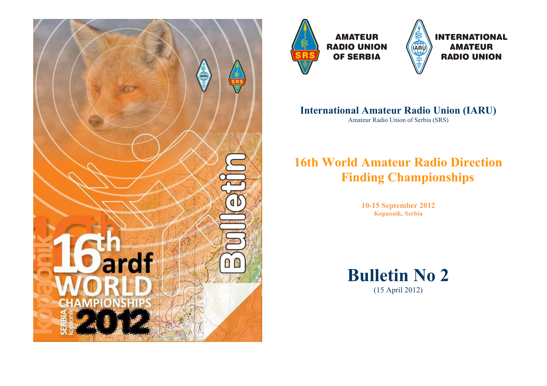



**AMATEUR RADIO UNION OF SERBIA** 



## **International Amateur Radio Union (IARU)**

Amateur Radio Union of Serbia (SRS)

# **16th World Amateur Radio Direction Finding Championships**

**10-15 September 2012 Kopaonik, Serbia**

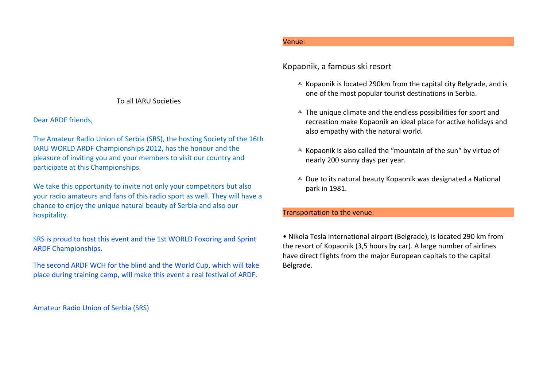#### To all IARU Societies

#### Dear ARDF friends,

The Amateur Radio Union of Serbia (SRS), the hosting Society of the 16th IARU WORLD ARDF Championships 2012, has the honour and the pleasure of inviting you and your members to visit our country and participate at this Championships.

We take this opportunity to invite not only your competitors but also your radio amateurs and fans of this radio sport as well. They will have a chance to enjoy the unique natural beauty of Serbia and also our hospitality.

SRS is proud to host this event and the 1st WORLD Foxoring and Sprint ARDF Championships.

The second ARDF WCH for the blind and the World Cup, which will take place during training camp, will make this event a real festival of ARDF.

Amateur Radio Union of Serbia (SRS)

## Venue:

## Kopaonik, a famous ski resort

- $\triangle$  Kopaonik is located 290km from the capital city Belgrade, and is one of the most popular tourist destinations in Serbia.
- $\triangle$  The unique climate and the endless possibilities for sport and recreation make Kopaonik an ideal place for active holidays and also empathy with the natural world.
- $\triangle$  Kopaonik is also called the "mountain of the sun" by virtue of nearly 200 sunny days per year.
- $\triangle$  Due to its natural beauty Kopaonik was designated a National park in 1981.

#### Transportation to the venue:

• Nikola Tesla International airport (Belgrade), is located 290 km from the resort of Kopaonik (3,5 hours by car). A large number of airlines have direct flights from the major European capitals to the capital Belgrade.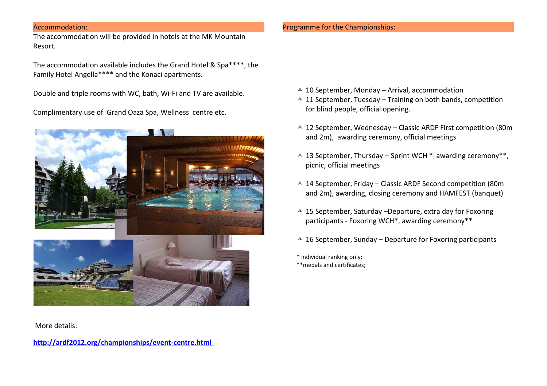#### Accommodation:

The accommodation will be provided in hotels at the MK Mountain Resort.

The accommodation available includes the Grand Hotel & Spa\*\*\*\*, the Family Hotel Angella\*\*\*\* and the Konaci apartments.

Double and triple rooms with WC, bath, Wi-Fi and TV are available.

Complimentary use of Grand Oaza Spa, Wellness centre etc.



More details:

**<http://ardf2012.org/championships/event-centre.html>**

#### Programme for the Championships:

- $\triangle$  10 September, Monday Arrival, accommodation
- $\triangle$  11 September, Tuesday Training on both bands, competition for blind people, official opening.
- $\triangle$  12 September, Wednesday Classic ARDF First competition (80m) and 2m), awarding ceremony, official meetings
- $\triangle$  13 September, Thursday Sprint WCH  $*$ , awarding ceremony $**$ , picnic, official meetings
- $\triangle$  14 September, Friday Classic ARDF Second competition (80m) and 2m), awarding, closing ceremony and HAMFEST (banquet)
- $\triangle$  15 September, Saturday –Departure, extra day for Foxoring participants - Foxoring WCH\*, awarding ceremony\*\*
- $\triangle$  16 September, Sunday Departure for Foxoring participants

\* individual ranking only; \*\*medals and certificates;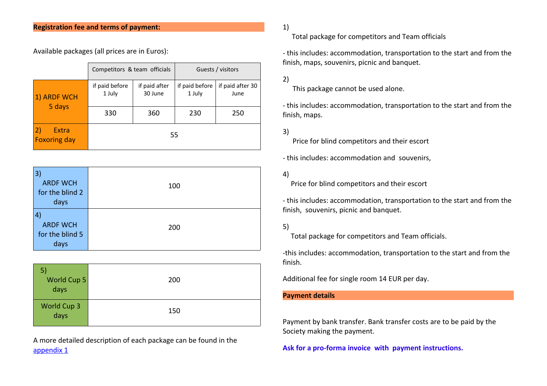Available packages (all prices are in Euros):

|                                    | Competitors & team officials |                          |                          | Guests / visitors        |  |
|------------------------------------|------------------------------|--------------------------|--------------------------|--------------------------|--|
| 1) ARDF WCH                        | if paid before<br>1 July     | if paid after<br>30 June | if paid before<br>1 July | if paid after 30<br>June |  |
| 5 days                             | 330                          | 360                      | 230                      | 250                      |  |
| 2)<br>Extra<br><b>Foxoring day</b> |                              | 55                       |                          |                          |  |

| 3)              |     |
|-----------------|-----|
| <b>ARDF WCH</b> | 100 |
| for the blind 2 |     |
| days            |     |
| 4               |     |
| <b>ARDF WCH</b> | 200 |
| for the blind 5 |     |
| days            |     |

| World Cup 5<br>days/ | 200 |
|----------------------|-----|
| World Cup 3<br>days  | 150 |

A more detailed description of each package can be found in the [appendix 1](http://ardf2012.org/docs/appendix1.pdf)

## 1)

Total package for competitors and Team officials

- this includes: accommodation, transportation to the start and from the finish, maps, souvenirs, picnic and banquet.

2)

This package cannot be used alone.

- this includes: accommodation, transportation to the start and from the finish, maps.

3)

Price for blind competitors and their escort

- this includes: accommodation and souvenirs,

#### 4)

Price for blind competitors and their escort

- this includes: accommodation, transportation to the start and from the finish, souvenirs, picnic and banquet.

#### 5)

Total package for competitors and Team officials.

-this includes: accommodation, transportation to the start and from the finish.

Additional fee for single room 14 EUR per day.

#### **Payment details**

Payment by bank transfer. Bank transfer costs are to be paid by the Society making the payment.

**Ask for a pro-forma invoice with payment instructions.**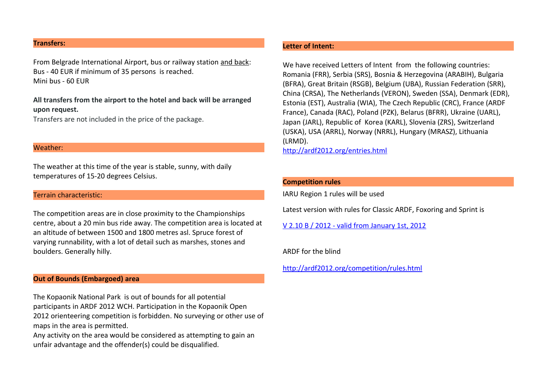#### **Transfers:**

From Belgrade International Airport, bus or railway station and back: Bus - 40 EUR if minimum of 35 persons is reached. Mini bus - 60 EUR

**All transfers from the airport to the hotel and back will be arranged upon request.**

Transfers are not included in the price of the package.

#### Weather:

The weather at this time of the year is stable, sunny, with daily temperatures of 15-20 degrees Celsius.

#### Terrain characteristic:

The competition areas are in close proximity to the Championships centre, about a 20 min bus ride away. The competition area is located at an altitude of between 1500 and 1800 metres asl. Spruce forest of varying runnability, with a lot of detail such as marshes, stones and boulders. Generally hilly.

#### **Out of Bounds (Embargoed) area**

The Kopaonik National Park is out of bounds for all potential participants in ARDF 2012 WCH. Participation in the Kopaonik Open 2012 orienteering competition is forbidden. No surveying or other use of maps in the area is permitted.

Any activity on the area would be considered as attempting to gain an unfair advantage and the offender(s) could be disqualified.

#### **Letter of Intent:**

We have received Letters of Intent from the following countries: Romania (FRR), Serbia (SRS), Bosnia & Herzegovina (ARABIH), Bulgaria (BFRA), Great Britain (RSGB), Belgium (UBA), Russian Federation (SRR), China (CRSA), The Netherlands (VERON), Sweden (SSA), Denmark (EDR), Estonia (EST), Australia (WIA), The Czech Republic (CRC), France (ARDF France), Canada (RAC), Poland (PZK), Belarus (BFRR), Ukraine (UARL), Japan (JARL), Republic of Korea (KARL), Slovenia (ZRS), Switzerland (USKA), USA (ARRL), Norway (NRRL), Hungary (MRASZ), Lithuania (LRMD).

<http://ardf2012.org/entries.html>

#### **Competition rules**

IARU Region 1 rules will be used

Latest version with rules for Classic ARDF, Foxoring and Sprint is

[V 2.10 B / 2012 - valid from January 1st, 2012](http://ardf2012.org/docs/Rules_V210_B_2012.pdf)

ARDF for the blind

<http://ardf2012.org/competition/rules.html>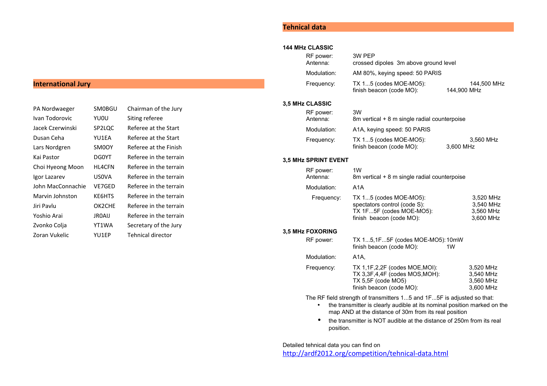## **International Jury**

| PA Nordwaeger     | SM0BGU        | Chairman of the Jury   |
|-------------------|---------------|------------------------|
| Ivan Todorovic    | YU0U          | Siting referee         |
| Jacek Czerwinski  | SP2LQC        | Referee at the Start   |
| Dusan Ceha        | YU1EA         | Referee at the Start   |
| Lars Nordgren     | SM0OY         | Referee at the Finish  |
| Kai Pastor        | DG0YT         | Referee in the terrain |
| Choi Hyeong Moon  | <b>HL4CFN</b> | Referee in the terrain |
| Igor Lazarev      | USOVA         | Referee in the terrain |
| John MacConnachie | VE7GED        | Referee in the terrain |
| Marvin Johnston   | KE6HTS        | Referee in the terrain |
| Jiri Pavlu        | OK2CHE        | Referee in the terrain |
| Yoshio Arai       | <b>JROAIJ</b> | Referee in the terrain |
| Zvonko Colja      | YT1WA         | Secretary of the Jury  |
| Zoran Vukelic     | YU1EP         | Tehnical director      |

## **Tehnical data**

#### **144 MHz CLASSIC**

| RF power:<br>Antenna: | 3W PFP<br>crossed dipoles 3m above ground level    |                            |
|-----------------------|----------------------------------------------------|----------------------------|
| Modulation:           | AM 80%, keying speed: 50 PARIS                     |                            |
| Frequency:            | TX 15 (codes MOE-MO5):<br>finish beacon (code MO): | 144,500 MHz<br>144.900 MHz |

#### **3,5 MHz CLASSIC**

| RF power:<br>Antenna: | 3W<br>8m vertical + 8 m single radial counterpoise |                        |
|-----------------------|----------------------------------------------------|------------------------|
| Modulation:           | A1A, keying speed: 50 PARIS                        |                        |
| Frequency:            | TX 15 (codes MOE-MO5):<br>finish beacon (code MO): | 3.560 MHz<br>3,600 MHz |

#### **3,5 MHz SPRINT EVENT**

| RF power:<br>Antenna: | 1W<br>8m vertical + 8 m single radial counterpoise                                                             |                                                  |
|-----------------------|----------------------------------------------------------------------------------------------------------------|--------------------------------------------------|
| Modulation:           | A1A                                                                                                            |                                                  |
| Frequency:            | TX 15 (codes MOE-MO5):<br>spectators control (code S):<br>TX 1F5F (codes MOE-MO5):<br>finish beacon (code MO): | 3,520 MHz<br>3.540 MHz<br>3.560 MHz<br>3,600 MHz |

#### **3,5 MHz FOXORING**

| RF power:   | TX 15,1F5F (codes MOE-MO5):10mW<br>finish beacon (code MO):                                                       | 1W |                                                  |
|-------------|-------------------------------------------------------------------------------------------------------------------|----|--------------------------------------------------|
| Modulation: | A1A.                                                                                                              |    |                                                  |
| Frequency:  | TX 1,1F,2,2F (codes MOE, MOI):<br>TX 3,3F,4,4F (codes MOS,MOH):<br>TX 5.5F (code MO5)<br>finish beacon (code MO): |    | 3.520 MHz<br>3.540 MHz<br>3,560 MHz<br>3,600 MHz |

The RF field strength of transmitters 1...5 and 1F...5F is adjusted so that:

- the transmitter is clearly audible at its nominal position marked on the map AND at the distance of 30m from its real position
- the transmitter is NOT audible at the distance of 250m from its real position.

Detailed tehnical data you can find on

<http://ardf2012.org/competition/tehnical-data.html>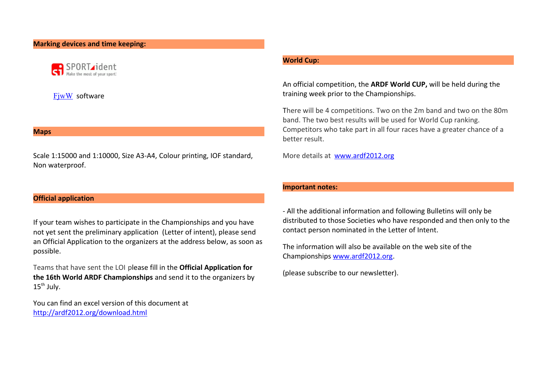#### **Marking devices and time keeping:**



**FiwW** software

#### **Maps**

Scale 1:15000 and 1:10000, Size A3-A4, Colour printing, IOF standard, Non waterproof.

#### **Official application**

If your team wishes to participate in the Championships and you have not yet sent the preliminary application (Letter of intent), please send an Official Application to the organizers at the address below, as soon as possible.

Teams that have sent the LOI please fill in the **Official Application for the 16th World ARDF Championships** and send it to the organizers by  $15<sup>th</sup>$  July.

You can find an excel version of this document at <http://ardf2012.org/download.html>

#### **World Cup:**

An official competition, the **ARDF World CUP,** will be held during the training week prior to the Championships.

There will be 4 competitions. Two on the 2m band and two on the 80m band. The two best results will be used for World Cup ranking. Competitors who take part in all four races have a greater chance of a better result.

More details at [www.ardf2012.org](http://www.ardf2012.org/)

#### **Important notes:**

- All the additional information and following Bulletins will only be distributed to those Societies who have responded and then only to the contact person nominated in the Letter of Intent.

The information will also be available on the web site of the Championships [www.ardf2012.org.](http://www.ardf2012.org/)

(please subscribe to our newsletter).